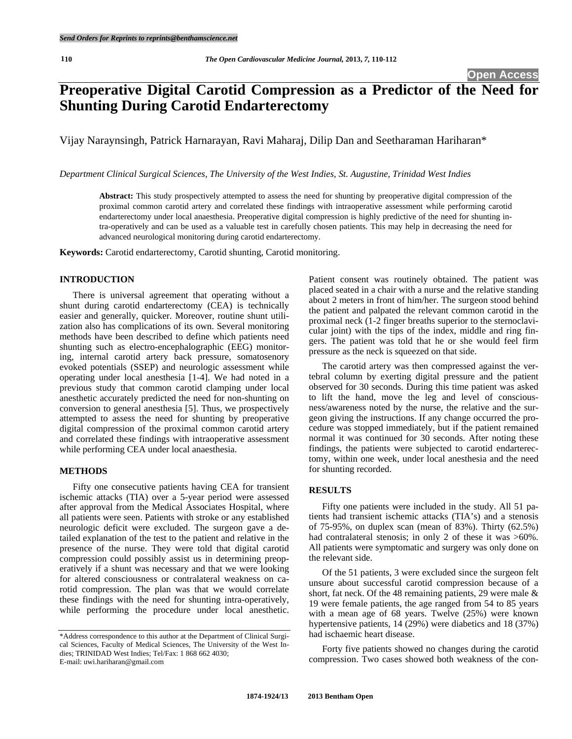# **Preoperative Digital Carotid Compression as a Predictor of the Need for Shunting During Carotid Endarterectomy**

Vijay Naraynsingh, Patrick Harnarayan, Ravi Maharaj, Dilip Dan and Seetharaman Hariharan\*

*Department Clinical Surgical Sciences, The University of the West Indies, St. Augustine, Trinidad West Indies* 

**Abstract:** This study prospectively attempted to assess the need for shunting by preoperative digital compression of the proximal common carotid artery and correlated these findings with intraoperative assessment while performing carotid endarterectomy under local anaesthesia. Preoperative digital compression is highly predictive of the need for shunting intra-operatively and can be used as a valuable test in carefully chosen patients. This may help in decreasing the need for advanced neurological monitoring during carotid endarterectomy.

**Keywords:** Carotid endarterectomy, Carotid shunting, Carotid monitoring.

## **INTRODUCTION**

 There is universal agreement that operating without a shunt during carotid endarterectomy (CEA) is technically easier and generally, quicker. Moreover, routine shunt utilization also has complications of its own. Several monitoring methods have been described to define which patients need shunting such as electro-encephalographic (EEG) monitoring, internal carotid artery back pressure, somatosenory evoked potentials (SSEP) and neurologic assessment while operating under local anesthesia [1-4]. We had noted in a previous study that common carotid clamping under local anesthetic accurately predicted the need for non-shunting on conversion to general anesthesia [5]. Thus, we prospectively attempted to assess the need for shunting by preoperative digital compression of the proximal common carotid artery and correlated these findings with intraoperative assessment while performing CEA under local anaesthesia.

#### **METHODS**

 Fifty one consecutive patients having CEA for transient ischemic attacks (TIA) over a 5-year period were assessed after approval from the Medical Associates Hospital, where all patients were seen. Patients with stroke or any established neurologic deficit were excluded. The surgeon gave a detailed explanation of the test to the patient and relative in the presence of the nurse. They were told that digital carotid compression could possibly assist us in determining preoperatively if a shunt was necessary and that we were looking for altered consciousness or contralateral weakness on carotid compression. The plan was that we would correlate these findings with the need for shunting intra-operatively, while performing the procedure under local anesthetic.

Patient consent was routinely obtained. The patient was placed seated in a chair with a nurse and the relative standing about 2 meters in front of him/her. The surgeon stood behind the patient and palpated the relevant common carotid in the proximal neck (1-2 finger breaths superior to the sternoclavicular joint) with the tips of the index, middle and ring fingers. The patient was told that he or she would feel firm pressure as the neck is squeezed on that side.

 The carotid artery was then compressed against the vertebral column by exerting digital pressure and the patient observed for 30 seconds. During this time patient was asked to lift the hand, move the leg and level of consciousness/awareness noted by the nurse, the relative and the surgeon giving the instructions. If any change occurred the procedure was stopped immediately, but if the patient remained normal it was continued for 30 seconds. After noting these findings, the patients were subjected to carotid endarterectomy, within one week, under local anesthesia and the need for shunting recorded.

## **RESULTS**

 Fifty one patients were included in the study. All 51 patients had transient ischemic attacks (TIA's) and a stenosis of 75-95%, on duplex scan (mean of 83%). Thirty (62.5%) had contralateral stenosis; in only 2 of these it was  $>60\%$ . All patients were symptomatic and surgery was only done on the relevant side.

 Of the 51 patients, 3 were excluded since the surgeon felt unsure about successful carotid compression because of a short, fat neck. Of the 48 remaining patients, 29 were male & 19 were female patients, the age ranged from 54 to 85 years with a mean age of 68 years. Twelve (25%) were known hypertensive patients, 14 (29%) were diabetics and 18 (37%) had ischaemic heart disease.

 Forty five patients showed no changes during the carotid compression. Two cases showed both weakness of the con-

<sup>\*</sup>Address correspondence to this author at the Department of Clinical Surgical Sciences, Faculty of Medical Sciences, The University of the West Indies; TRINIDAD West Indies; Tel/Fax: 1 868 662 4030; E-mail: uwi.hariharan@gmail.com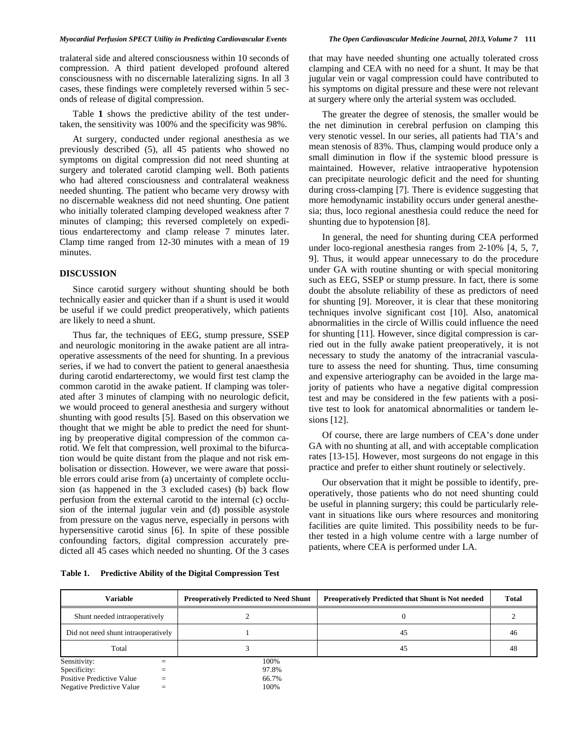#### *Myocardial Perfusion SPECT Utility in Predicting Cardiovascular Events The Open Cardiovascular Medicine Journal, 2013, Volume 7* **111**

tralateral side and altered consciousness within 10 seconds of compression. A third patient developed profound altered consciousness with no discernable lateralizing signs. In all 3 cases, these findings were completely reversed within 5 seconds of release of digital compression.

 Table **1** shows the predictive ability of the test undertaken, the sensitivity was 100% and the specificity was 98%.

 At surgery, conducted under regional anesthesia as we previously described (5), all 45 patients who showed no symptoms on digital compression did not need shunting at surgery and tolerated carotid clamping well. Both patients who had altered consciousness and contralateral weakness needed shunting. The patient who became very drowsy with no discernable weakness did not need shunting. One patient who initially tolerated clamping developed weakness after 7 minutes of clamping; this reversed completely on expeditious endarterectomy and clamp release 7 minutes later. Clamp time ranged from 12-30 minutes with a mean of 19 minutes.

## **DISCUSSION**

 Since carotid surgery without shunting should be both technically easier and quicker than if a shunt is used it would be useful if we could predict preoperatively, which patients are likely to need a shunt.

 Thus far, the techniques of EEG, stump pressure, SSEP and neurologic monitoring in the awake patient are all intraoperative assessments of the need for shunting. In a previous series, if we had to convert the patient to general anaesthesia during carotid endarterectomy, we would first test clamp the common carotid in the awake patient. If clamping was tolerated after 3 minutes of clamping with no neurologic deficit, we would proceed to general anesthesia and surgery without shunting with good results [5]. Based on this observation we thought that we might be able to predict the need for shunting by preoperative digital compression of the common carotid. We felt that compression, well proximal to the bifurcation would be quite distant from the plaque and not risk embolisation or dissection. However, we were aware that possible errors could arise from (a) uncertainty of complete occlusion (as happened in the 3 excluded cases) (b) back flow perfusion from the external carotid to the internal (c) occlusion of the internal jugular vein and (d) possible asystole from pressure on the vagus nerve, especially in persons with hypersensitive carotid sinus [6]. In spite of these possible confounding factors, digital compression accurately predicted all 45 cases which needed no shunting. Of the 3 cases that may have needed shunting one actually tolerated cross clamping and CEA with no need for a shunt. It may be that jugular vein or vagal compression could have contributed to his symptoms on digital pressure and these were not relevant at surgery where only the arterial system was occluded.

 The greater the degree of stenosis, the smaller would be the net diminution in cerebral perfusion on clamping this very stenotic vessel. In our series, all patients had TIA's and mean stenosis of 83%. Thus, clamping would produce only a small diminution in flow if the systemic blood pressure is maintained. However, relative intraoperative hypotension can precipitate neurologic deficit and the need for shunting during cross-clamping [7]. There is evidence suggesting that more hemodynamic instability occurs under general anesthesia; thus, loco regional anesthesia could reduce the need for shunting due to hypotension [8].

 In general, the need for shunting during CEA performed under loco-regional anesthesia ranges from 2-10% [4, 5, 7, 9]. Thus, it would appear unnecessary to do the procedure under GA with routine shunting or with special monitoring such as EEG, SSEP or stump pressure. In fact, there is some doubt the absolute reliability of these as predictors of need for shunting [9]. Moreover, it is clear that these monitoring techniques involve significant cost [10]. Also, anatomical abnormalities in the circle of Willis could influence the need for shunting [11]. However, since digital compression is carried out in the fully awake patient preoperatively, it is not necessary to study the anatomy of the intracranial vasculature to assess the need for shunting. Thus, time consuming and expensive arteriography can be avoided in the large majority of patients who have a negative digital compression test and may be considered in the few patients with a positive test to look for anatomical abnormalities or tandem lesions [12].

 Of course, there are large numbers of CEA's done under GA with no shunting at all, and with acceptable complication rates [13-15]. However, most surgeons do not engage in this practice and prefer to either shunt routinely or selectively.

 Our observation that it might be possible to identify, preoperatively, those patients who do not need shunting could be useful in planning surgery; this could be particularly relevant in situations like ours where resources and monitoring facilities are quite limited. This possibility needs to be further tested in a high volume centre with a large number of patients, where CEA is performed under LA.

**Table 1. Predictive Ability of the Digital Compression Test** 

| <b>Variable</b>                     |     | <b>Preoperatively Predicted to Need Shunt</b> | <b>Preoperatively Predicted that Shunt is Not needed</b> | <b>Total</b> |
|-------------------------------------|-----|-----------------------------------------------|----------------------------------------------------------|--------------|
| Shunt needed intraoperatively       |     |                                               |                                                          |              |
| Did not need shunt intraoperatively |     |                                               | 45                                                       | 46           |
| Total                               |     |                                               | 45                                                       | 48           |
| Sensitivity:                        |     | 100%                                          |                                                          |              |
| Specificity:                        |     | 97.8%                                         |                                                          |              |
| Positive Predictive Value           |     | 66.7%                                         |                                                          |              |
| Negative Predictive Value           | $=$ | 100%                                          |                                                          |              |